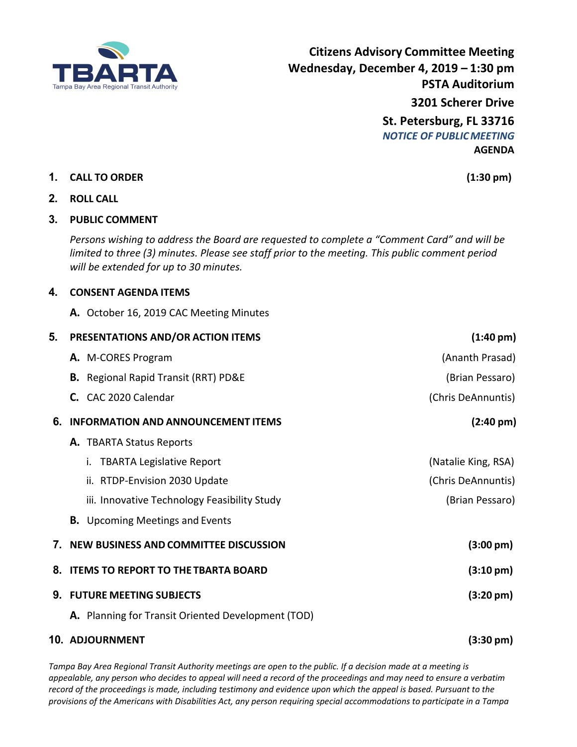

**Citizens Advisory Committee Meeting Wednesday, December 4, 2019 – 1:30 pm PSTA Auditorium 3201 Scherer Drive St. Petersburg, FL 33716** *NOTICE OF PUBLICMEETING* **AGENDA**

## **1. CALL TO ORDER (1:30 pm)**

**2. ROLL CALL**

## **3. PUBLIC COMMENT**

*Persons wishing to address the Board are requested to complete a "Comment Card" and will be limited to three (3) minutes. Please see staff prior to the meeting. This public comment period will be extended for up to 30 minutes.*

## **4. CONSENT AGENDA ITEMS**

**A.** October 16, 2019 CAC Meeting Minutes

| 5. |                                          | PRESENTATIONS AND/OR ACTION ITEMS                  | $(1:40 \text{ pm})$ |
|----|------------------------------------------|----------------------------------------------------|---------------------|
|    |                                          | A. M-CORES Program                                 | (Ananth Prasad)     |
|    |                                          | <b>B.</b> Regional Rapid Transit (RRT) PD&E        | (Brian Pessaro)     |
|    |                                          | C. CAC 2020 Calendar                               | (Chris DeAnnuntis)  |
| 6. |                                          | <b>INFORMATION AND ANNOUNCEMENT ITEMS</b>          | $(2:40 \text{ pm})$ |
|    |                                          | A. TBARTA Status Reports                           |                     |
|    |                                          | <b>TBARTA Legislative Report</b><br>i.             | (Natalie King, RSA) |
|    |                                          | ii. RTDP-Envision 2030 Update                      | (Chris DeAnnuntis)  |
|    |                                          | iii. Innovative Technology Feasibility Study       | (Brian Pessaro)     |
|    |                                          | <b>B.</b> Upcoming Meetings and Events             |                     |
|    | 7. NEW BUSINESS AND COMMITTEE DISCUSSION |                                                    | $(3:00 \text{ pm})$ |
|    |                                          | 8. ITEMS TO REPORT TO THE TBARTA BOARD             | $(3:10 \text{ pm})$ |
|    |                                          | 9. FUTURE MEETING SUBJECTS                         | $(3:20 \text{ pm})$ |
|    |                                          | A. Planning for Transit Oriented Development (TOD) |                     |
|    |                                          | 10. ADJOURNMENT                                    | $(3:30 \text{ pm})$ |
|    |                                          |                                                    |                     |

*Tampa Bay Area Regional Transit Authority meetings are open to the public. If a decision made at a meeting is appealable, any person who decides to appeal will need a record of the proceedings and may need to ensure a verbatim record of the proceedings is made, including testimony and evidence upon which the appeal is based. Pursuant to the provisions of the Americans with Disabilities Act, any person requiring special accommodations to participate in a Tampa*